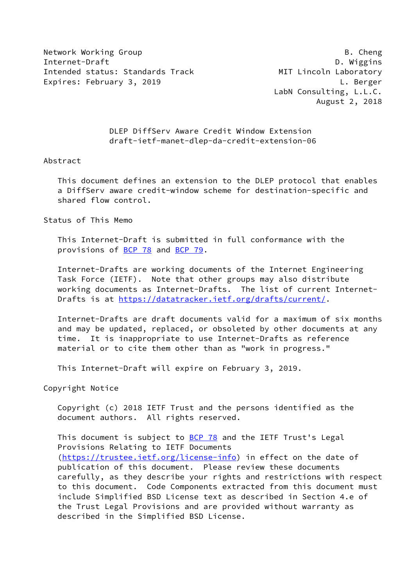Network Working Group **B. Cheng** Internet-Draft D. Wiggins Intended status: Standards Track MIT Lincoln Laboratory Expires: February 3, 2019 **Let us a set of the Contract Contract Contract Contract Contract Contract Contract Contract Contract Contract Contract Contract Contract Contract Contract Contract Contract Contract Contract Cont** 

 LabN Consulting, L.L.C. August 2, 2018

 DLEP DiffServ Aware Credit Window Extension draft-ietf-manet-dlep-da-credit-extension-06

#### Abstract

 This document defines an extension to the DLEP protocol that enables a DiffServ aware credit-window scheme for destination-specific and shared flow control.

Status of This Memo

 This Internet-Draft is submitted in full conformance with the provisions of [BCP 78](https://datatracker.ietf.org/doc/pdf/bcp78) and [BCP 79](https://datatracker.ietf.org/doc/pdf/bcp79).

 Internet-Drafts are working documents of the Internet Engineering Task Force (IETF). Note that other groups may also distribute working documents as Internet-Drafts. The list of current Internet- Drafts is at<https://datatracker.ietf.org/drafts/current/>.

 Internet-Drafts are draft documents valid for a maximum of six months and may be updated, replaced, or obsoleted by other documents at any time. It is inappropriate to use Internet-Drafts as reference material or to cite them other than as "work in progress."

This Internet-Draft will expire on February 3, 2019.

Copyright Notice

 Copyright (c) 2018 IETF Trust and the persons identified as the document authors. All rights reserved.

This document is subject to **[BCP 78](https://datatracker.ietf.org/doc/pdf/bcp78)** and the IETF Trust's Legal Provisions Relating to IETF Documents [\(https://trustee.ietf.org/license-info](https://trustee.ietf.org/license-info)) in effect on the date of publication of this document. Please review these documents carefully, as they describe your rights and restrictions with respect to this document. Code Components extracted from this document must include Simplified BSD License text as described in Section 4.e of the Trust Legal Provisions and are provided without warranty as described in the Simplified BSD License.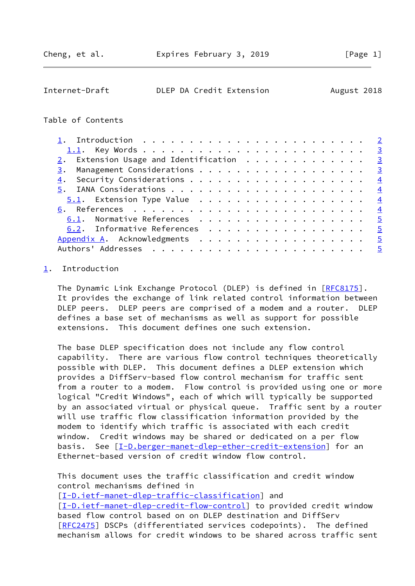<span id="page-1-1"></span>

| Internet-Draft |  |  | DLEP DA Credit Extension | August 2018 |  |
|----------------|--|--|--------------------------|-------------|--|
|----------------|--|--|--------------------------|-------------|--|

## Table of Contents

|    | $2.$ Extension Usage and Identification $.$ |  |  |  |  |  |  |  |  |  |  |  |                |
|----|---------------------------------------------|--|--|--|--|--|--|--|--|--|--|--|----------------|
|    | 3. Management Considerations 3              |  |  |  |  |  |  |  |  |  |  |  |                |
| 4. |                                             |  |  |  |  |  |  |  |  |  |  |  |                |
|    |                                             |  |  |  |  |  |  |  |  |  |  |  |                |
|    |                                             |  |  |  |  |  |  |  |  |  |  |  |                |
|    |                                             |  |  |  |  |  |  |  |  |  |  |  |                |
|    | 6.1. Normative References 5                 |  |  |  |  |  |  |  |  |  |  |  |                |
|    | 6.2. Informative References 5               |  |  |  |  |  |  |  |  |  |  |  |                |
|    |                                             |  |  |  |  |  |  |  |  |  |  |  | $\overline{5}$ |
|    |                                             |  |  |  |  |  |  |  |  |  |  |  | $-5$           |

# <span id="page-1-0"></span>[1](#page-1-0). Introduction

The Dynamic Link Exchange Protocol (DLEP) is defined in [\[RFC8175](https://datatracker.ietf.org/doc/pdf/rfc8175)]. It provides the exchange of link related control information between DLEP peers. DLEP peers are comprised of a modem and a router. DLEP defines a base set of mechanisms as well as support for possible extensions. This document defines one such extension.

 The base DLEP specification does not include any flow control capability. There are various flow control techniques theoretically possible with DLEP. This document defines a DLEP extension which provides a DiffServ-based flow control mechanism for traffic sent from a router to a modem. Flow control is provided using one or more logical "Credit Windows", each of which will typically be supported by an associated virtual or physical queue. Traffic sent by a router will use traffic flow classification information provided by the modem to identify which traffic is associated with each credit window. Credit windows may be shared or dedicated on a per flow basis. See [\[I-D.berger-manet-dlep-ether-credit-extension](#page-5-2)] for an Ethernet-based version of credit window flow control.

 This document uses the traffic classification and credit window control mechanisms defined in

[\[I-D.ietf-manet-dlep-traffic-classification\]](#page-4-4) and [\[I-D.ietf-manet-dlep-credit-flow-control](#page-4-5)] to provided credit window based flow control based on on DLEP destination and DiffServ [\[RFC2475](https://datatracker.ietf.org/doc/pdf/rfc2475)] DSCPs (differentiated services codepoints). The defined mechanism allows for credit windows to be shared across traffic sent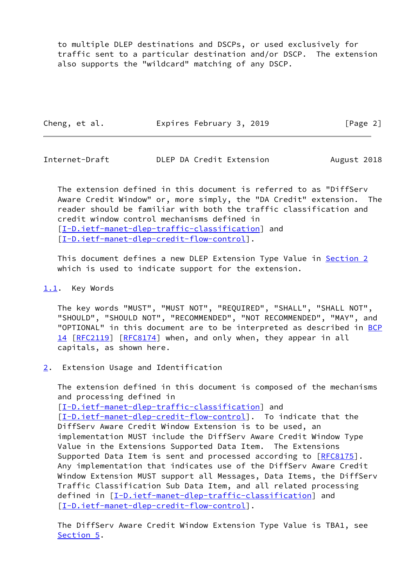to multiple DLEP destinations and DSCPs, or used exclusively for traffic sent to a particular destination and/or DSCP. The extension also supports the "wildcard" matching of any DSCP.

| Cheng, et al. | Expires February 3, 2019 | [Page 2] |
|---------------|--------------------------|----------|
|---------------|--------------------------|----------|

<span id="page-2-1"></span>Internet-Draft DLEP DA Credit Extension August 2018

 The extension defined in this document is referred to as "DiffServ Aware Credit Window" or, more simply, the "DA Credit" extension. The reader should be familiar with both the traffic classification and credit window control mechanisms defined in [\[I-D.ietf-manet-dlep-traffic-classification\]](#page-4-4) and [\[I-D.ietf-manet-dlep-credit-flow-control](#page-4-5)].

 This document defines a new DLEP Extension Type Value in [Section 2](#page-2-2) which is used to indicate support for the extension.

## <span id="page-2-0"></span>[1.1](#page-2-0). Key Words

 The key words "MUST", "MUST NOT", "REQUIRED", "SHALL", "SHALL NOT", "SHOULD", "SHOULD NOT", "RECOMMENDED", "NOT RECOMMENDED", "MAY", and "OPTIONAL" in this document are to be interpreted as described in [BCP](https://datatracker.ietf.org/doc/pdf/bcp14) [14](https://datatracker.ietf.org/doc/pdf/bcp14) [[RFC2119\]](https://datatracker.ietf.org/doc/pdf/rfc2119) [\[RFC8174](https://datatracker.ietf.org/doc/pdf/rfc8174)] when, and only when, they appear in all capitals, as shown here.

<span id="page-2-2"></span>[2](#page-2-2). Extension Usage and Identification

 The extension defined in this document is composed of the mechanisms and processing defined in [\[I-D.ietf-manet-dlep-traffic-classification\]](#page-4-4) and [\[I-D.ietf-manet-dlep-credit-flow-control](#page-4-5)]. To indicate that the DiffServ Aware Credit Window Extension is to be used, an implementation MUST include the DiffServ Aware Credit Window Type Value in the Extensions Supported Data Item. The Extensions Supported Data Item is sent and processed according to [\[RFC8175](https://datatracker.ietf.org/doc/pdf/rfc8175)]. Any implementation that indicates use of the DiffServ Aware Credit Window Extension MUST support all Messages, Data Items, the DiffServ Traffic Classification Sub Data Item, and all related processing defined in [[I-D.ietf-manet-dlep-traffic-classification\]](#page-4-4) and [\[I-D.ietf-manet-dlep-credit-flow-control](#page-4-5)].

 The DiffServ Aware Credit Window Extension Type Value is TBA1, see [Section 5](#page-3-3).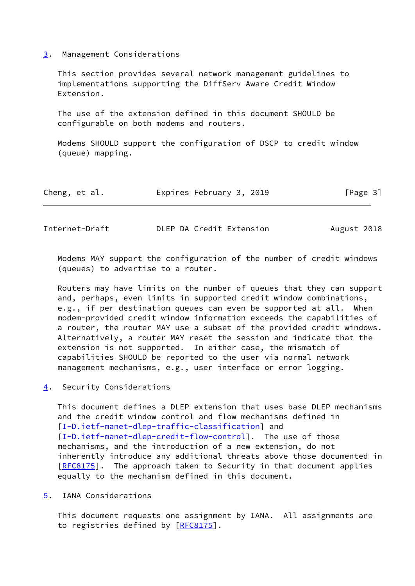#### <span id="page-3-0"></span>[3](#page-3-0). Management Considerations

 This section provides several network management guidelines to implementations supporting the DiffServ Aware Credit Window Extension.

 The use of the extension defined in this document SHOULD be configurable on both modems and routers.

 Modems SHOULD support the configuration of DSCP to credit window (queue) mapping.

|  | Cheng, et al. |  | Expires February 3, 2019 |  | [Page 3] |  |
|--|---------------|--|--------------------------|--|----------|--|
|--|---------------|--|--------------------------|--|----------|--|

<span id="page-3-2"></span>Internet-Draft **DLEP DA Credit Extension** August 2018

 Modems MAY support the configuration of the number of credit windows (queues) to advertise to a router.

 Routers may have limits on the number of queues that they can support and, perhaps, even limits in supported credit window combinations, e.g., if per destination queues can even be supported at all. When modem-provided credit window information exceeds the capabilities of a router, the router MAY use a subset of the provided credit windows. Alternatively, a router MAY reset the session and indicate that the extension is not supported. In either case, the mismatch of capabilities SHOULD be reported to the user via normal network management mechanisms, e.g., user interface or error logging.

<span id="page-3-1"></span>[4](#page-3-1). Security Considerations

 This document defines a DLEP extension that uses base DLEP mechanisms and the credit window control and flow mechanisms defined in [\[I-D.ietf-manet-dlep-traffic-classification\]](#page-4-4) and [\[I-D.ietf-manet-dlep-credit-flow-control](#page-4-5)]. The use of those mechanisms, and the introduction of a new extension, do not inherently introduce any additional threats above those documented in [\[RFC8175](https://datatracker.ietf.org/doc/pdf/rfc8175)]. The approach taken to Security in that document applies equally to the mechanism defined in this document.

<span id="page-3-3"></span>[5](#page-3-3). IANA Considerations

 This document requests one assignment by IANA. All assignments are to registries defined by [\[RFC8175](https://datatracker.ietf.org/doc/pdf/rfc8175)].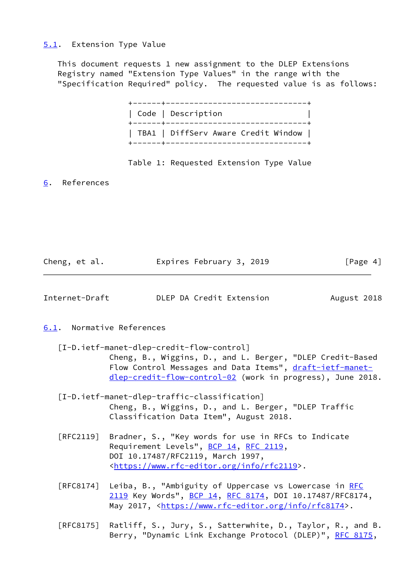## <span id="page-4-0"></span>[5.1](#page-4-0). Extension Type Value

 This document requests 1 new assignment to the DLEP Extensions Registry named "Extension Type Values" in the range with the "Specification Required" policy. The requested value is as follows:

| Code   Description                  |
|-------------------------------------|
| TBA1   DiffServ Aware Credit Window |

#### Table 1: Requested Extension Type Value

<span id="page-4-1"></span>[6](#page-4-1). References

| Cheng, et al. | Expires February 3, 2019 |  | [Page 4] |
|---------------|--------------------------|--|----------|
|               |                          |  |          |

<span id="page-4-3"></span>Internet-Draft DLEP DA Credit Extension August 2018

## <span id="page-4-2"></span>[6.1](#page-4-2). Normative References

- <span id="page-4-5"></span> [I-D.ietf-manet-dlep-credit-flow-control] Cheng, B., Wiggins, D., and L. Berger, "DLEP Credit-Based Flow Control Messages and Data Items", [draft-ietf-manet](https://datatracker.ietf.org/doc/pdf/draft-ietf-manet-dlep-credit-flow-control-02) [dlep-credit-flow-control-02](https://datatracker.ietf.org/doc/pdf/draft-ietf-manet-dlep-credit-flow-control-02) (work in progress), June 2018.
- <span id="page-4-4"></span> [I-D.ietf-manet-dlep-traffic-classification] Cheng, B., Wiggins, D., and L. Berger, "DLEP Traffic Classification Data Item", August 2018.
- [RFC2119] Bradner, S., "Key words for use in RFCs to Indicate Requirement Levels", [BCP 14](https://datatracker.ietf.org/doc/pdf/bcp14), [RFC 2119](https://datatracker.ietf.org/doc/pdf/rfc2119), DOI 10.17487/RFC2119, March 1997, <[https://www.rfc-editor.org/info/rfc2119>](https://www.rfc-editor.org/info/rfc2119).
- [RFC8174] Leiba, B., "Ambiguity of Uppercase vs Lowercase in [RFC](https://datatracker.ietf.org/doc/pdf/rfc2119) [2119](https://datatracker.ietf.org/doc/pdf/rfc2119) Key Words", [BCP 14](https://datatracker.ietf.org/doc/pdf/bcp14), [RFC 8174,](https://datatracker.ietf.org/doc/pdf/rfc8174) DOI 10.17487/RFC8174, May 2017, [<https://www.rfc-editor.org/info/rfc8174](https://www.rfc-editor.org/info/rfc8174)>.
- [RFC8175] Ratliff, S., Jury, S., Satterwhite, D., Taylor, R., and B. Berry, "Dynamic Link Exchange Protocol (DLEP)", [RFC 8175,](https://datatracker.ietf.org/doc/pdf/rfc8175)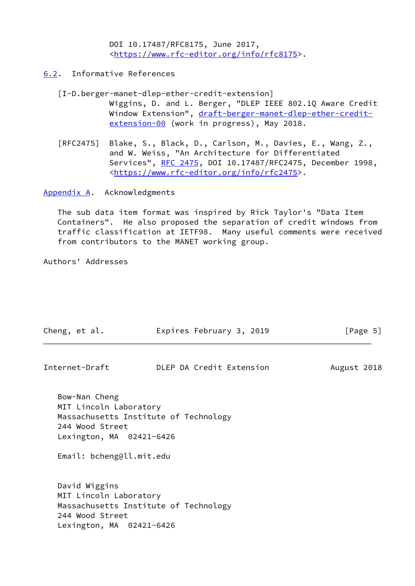DOI 10.17487/RFC8175, June 2017, <[https://www.rfc-editor.org/info/rfc8175>](https://www.rfc-editor.org/info/rfc8175).

- <span id="page-5-2"></span><span id="page-5-0"></span>[6.2](#page-5-0). Informative References
	- [I-D.berger-manet-dlep-ether-credit-extension] Wiggins, D. and L. Berger, "DLEP IEEE 802.1Q Aware Credit Window Extension", [draft-berger-manet-dlep-ether-credit](https://datatracker.ietf.org/doc/pdf/draft-berger-manet-dlep-ether-credit-extension-00) [extension-00](https://datatracker.ietf.org/doc/pdf/draft-berger-manet-dlep-ether-credit-extension-00) (work in progress), May 2018.
	- [RFC2475] Blake, S., Black, D., Carlson, M., Davies, E., Wang, Z., and W. Weiss, "An Architecture for Differentiated Services", [RFC 2475](https://datatracker.ietf.org/doc/pdf/rfc2475), DOI 10.17487/RFC2475, December 1998, <[https://www.rfc-editor.org/info/rfc2475>](https://www.rfc-editor.org/info/rfc2475).

<span id="page-5-1"></span>[Appendix A.](#page-5-1) Acknowledgments

 The sub data item format was inspired by Rick Taylor's "Data Item Containers". He also proposed the separation of credit windows from traffic classification at IETF98. Many useful comments were received from contributors to the MANET working group.

Authors' Addresses

| Cheng, et al.                                                                                                      | Expires February 3, 2019              | [Page 5]    |
|--------------------------------------------------------------------------------------------------------------------|---------------------------------------|-------------|
| Internet-Draft                                                                                                     | DLEP DA Credit Extension              | August 2018 |
| Bow-Nan Cheng<br>MIT Lincoln Laboratory<br>244 Wood Street<br>Lexington, MA 02421-6426<br>Email: bcheng@ll.mit.edu | Massachusetts Institute of Technology |             |
| David Wiggins<br>MIT Lincoln Laboratory<br>244 Wood Street<br>Lexington, MA 02421-6426                             | Massachusetts Institute of Technology |             |